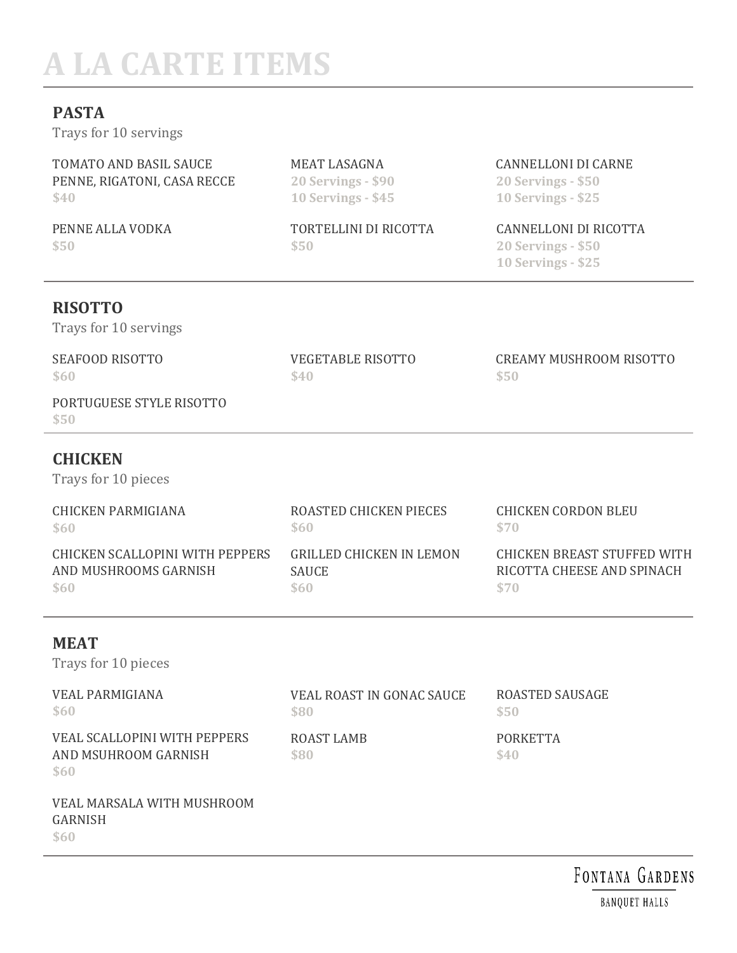# **A LA CARTE ITEMS**

## **PASTA**

Trays for 10 servings

| TOMATO AND BASIL SAUCE      |
|-----------------------------|
| PENNE, RIGATONI, CASA RECCE |
| \$40                        |

PENNE ALLA VODKA **\$50**

MEAT LASAGNA **20 Servings - \$90 10 Servings - \$45**

TORTELLINI DI RICOTTA **\$50**

VEGETABLE RISOTTO

**\$40**

CANNELLONI DI CARNE

**20 Servings - \$50 10 Servings - \$25**

#### CANNELLONI DI RICOTTA

CREAMY MUSHROOM RISOTTO

**20 Servings - \$50 10 Servings - \$25**

**\$50**

# **RISOTTO**

Trays for 10 servings

# SEAFOOD RISOTTO

**\$60**

PORTUGUESE STYLE RISOTTO **\$50**

## **CHICKEN**

Trays for 10 pieces

| CHICKEN PARMIGIANA              | ROASTED CHICKEN PIECES          | CHICKEN CORDON BLEU         |
|---------------------------------|---------------------------------|-----------------------------|
| \$60                            | \$60                            | \$70                        |
| CHICKEN SCALLOPINI WITH PEPPERS | <b>GRILLED CHICKEN IN LEMON</b> | CHICKEN BREAST STUFFED WITH |
| AND MUSHROOMS GARNISH           | <b>SAUCE</b>                    | RICOTTA CHEESE AND SPINACH  |
| \$60                            | \$60                            | \$70                        |

# **MEAT**

Trays for 10 pieces

| <b>VEAL PARMIGIANA</b><br>\$60                                                                                                                                                                                                                                                                                                                                                                                                                       | VEAL ROAST IN GONAC SAUCE<br>\$80 | ROASTED SAUSAGE<br>\$50 |
|------------------------------------------------------------------------------------------------------------------------------------------------------------------------------------------------------------------------------------------------------------------------------------------------------------------------------------------------------------------------------------------------------------------------------------------------------|-----------------------------------|-------------------------|
| VEAL SCALLOPINI WITH PEPPERS<br>AND MSUHROOM GARNISH<br>\$60                                                                                                                                                                                                                                                                                                                                                                                         | ROAST LAMB<br>\$80                | <b>PORKETTA</b><br>\$40 |
| VEAL MARSALA WITH MUSHROOM<br>$\alpha$ , $\alpha$ , $\alpha$ , $\alpha$ , $\alpha$ , $\alpha$ , $\alpha$ , $\alpha$ , $\alpha$ , $\alpha$ , $\alpha$ , $\alpha$ , $\alpha$ , $\alpha$ , $\alpha$ , $\alpha$ , $\alpha$ , $\alpha$ , $\alpha$ , $\alpha$ , $\alpha$ , $\alpha$ , $\alpha$ , $\alpha$ , $\alpha$ , $\alpha$ , $\alpha$ , $\alpha$ , $\alpha$ , $\alpha$ , $\alpha$ , $\alpha$ , $\alpha$ , $\alpha$ , $\alpha$ , $\alpha$ , $\alpha$ , |                                   |                         |

#### GARNISH

**\$60**